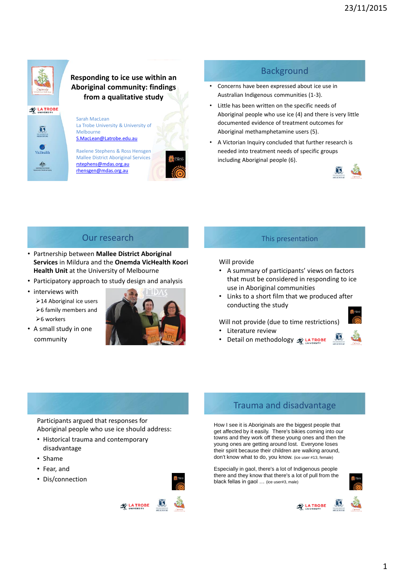

**LA TROBE** 

#### **Responding to ice use within an Aboriginal community: findings from a qualitative study**

町

Sarah MacLean La Trobe University & University of Melbourne [S.MacLean@Latrobe.edu.au](mailto:S.MacLean@Latrobe.edu.au)

Raelene Stephens & Ross Hensgen Mallee District Aboriginal Services [rstephens@mdas.org.au](mailto:rstephens@mdas.org.au) [rhensgen@mdas.org.au](mailto:rhensgen@mdas.org.au)



# **Background**

- Concerns have been expressed about ice use in Australian Indigenous communities (1-3).
- Little has been written on the specific needs of Aboriginal people who use ice (4) and there is very little documented evidence of treatment outcomes for Aboriginal methamphetamine users (5).
- A Victorian Inquiry concluded that further research is needed into treatment needs of specific groups including Aboriginal people (6).



# Our research

- Partnership between **Mallee District Aboriginal Services** in Mildura and the **Onemda VicHealth Koori Health Unit** at the University of Melbourne
- Participatory approach to study design and analysis
- interviews with
	- 14 Aboriginal ice users  $>6$  family members and  $>6$  workers
- A small study in one community



## This presentation

#### Will provide

- A summary of participants' views on factors that must be considered in responding to ice use in Aboriginal communities
- Links to a short film that we produced after conducting the study

#### Will not provide (due to time restrictions)

Literature review



**Detail on methodology & LA TROBE** 

Participants argued that responses for

- Aboriginal people who use ice should address: • Historical trauma and contemporary
- disadvantage
- Shame
- Fear, and
- Dis/connection





How I see it is Aboriginals are the biggest people that get affected by it easily. There's bikies coming into our towns and they work off these young ones and then the young ones are getting around lost. Everyone loses their spirit because their children are walking around, don't know what to do, you know. (ice user #13, female)

Especially in gaol, there's a lot of Indigenous people there and they know that there's a lot of pull from the black fellas in gaol … (ice user#3, male)



**LA TROBE** 

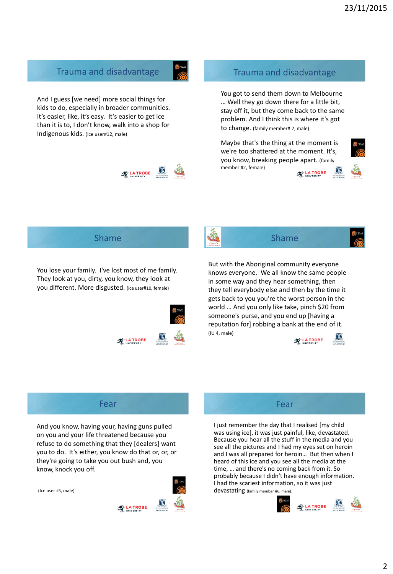## Trauma and disadvantage

And I guess [we need] more social things for kids to do, especially in broader communities. It's easier, like, it's easy. It's easier to get ice than it is to, I don't know, walk into a shop for Indigenous kids. (ice user#12, male)



#### Trauma and disadvantage

You got to send them down to Melbourne … Well they go down there for a little bit, stay off it, but they come back to the same problem. And I think this is where it's got to change. (family member# 2, male)

Maybe that's the thing at the moment is we're too shattered at the moment. It's, you know, breaking people apart. (family member #2, female) LA TROBE



## Shame

You lose your family. I've lost most of me family. They look at you, dirty, you know, they look at you different. More disgusted. (ice user#10, female)





## Shame

But with the Aboriginal community everyone knows everyone. We all know the same people in some way and they hear something, then they tell everybody else and then by the time it gets back to you you're the worst person in the world … And you only like take, pinch \$20 from someone's purse, and you end up [having a reputation for] robbing a bank at the end of it. (IU 4, male)



## Fear

And you know, having your, having guns pulled on you and your life threatened because you refuse to do something that they [dealers] want you to do. It's either, you know do that or, or, or they're going to take you out bush and, you know, knock you off.





## Fear

I just remember the day that I realised [my child was using ice], it was just painful, like, devastated. Because you hear all the stuff in the media and you see all the pictures and I had my eyes set on heroin and I was all prepared for heroin… But then when I heard of this ice and you see all the media at the time, … and there's no coming back from it. So probably because I didn't have enough information. I had the scariest information, so it was just devastating (family member #6, male).